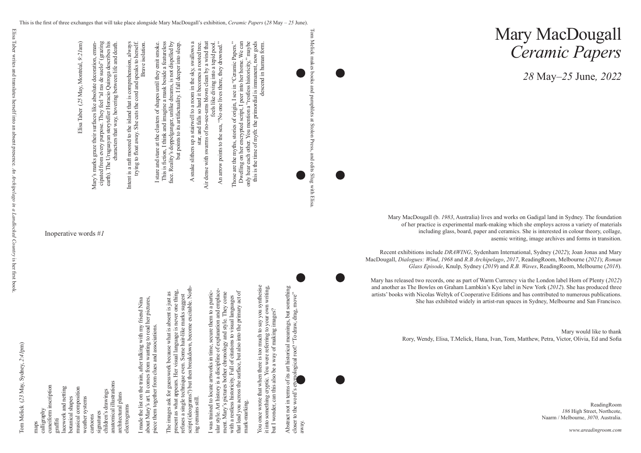## Mary MacDougall *Ceramic Papers*

*28* May*–25* June*, 2022*

ReadingRoom *186* High Street, Northcote, Naarm / Melbourne, *3070,* Australia.

*www.areadingroom.com*

Tom Melick ( *23* May, Sydney, *2*:*41*pm)



Mary MacDougall (b. *1983*, Australia) lives and works on Gadigal land in Sydney. The foundation of her practice is experimental mark-making which she employs across a variety of materials including glass, board, paper and ceramics. She is interested in colour theory, collage, asemic writing, image archives and forms in transition.

Recent exhibitions include *DRAWING*, Sydenham International, Sydney (*2022*); Joan Jonas and Mary MacDougall, *Dialogues: Wind*, *1968* and *R.B Archipelago*, *2017*, ReadingRoom, Melbourne (*2021*); *Roman Glass Episode*, Knulp, Sydney (*2019*) and *R.B. Waves*, ReadingRoom, Melbourne (*2018*).

Mary has released two records, one as part of Warm Currency via the London label Horn of Plenty (*2022*) and another as The Bowles on Graham Lambkin's Kye label in New York (*2012*). She has produced three artists' books with Nicolas Weltyk of Cooperative Editions and has contributed to numerous publications. She has exhibited widely in artist-run spaces in Sydney, Melbourne and San Francisco.

> Mary would like to thank Rory, Wendy, Elisa, T.Melick, Hana, Ivan, Tom, Matthew, Petra, Victor, Olivia, Ed and Sofia